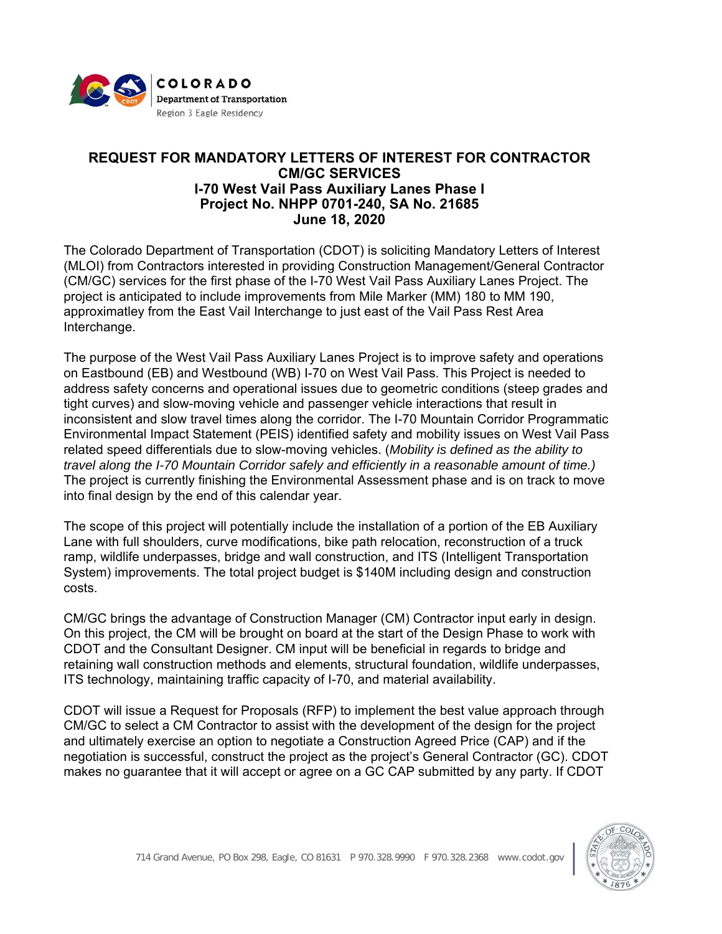

## **REQUEST FOR MANDATORY LETTERS OF INTEREST FOR CONTRACTOR CM/GC SERVICES I-70 West Vail Pass Auxiliary Lanes Phase I Project No. NHPP 0701-240, SA No. 21685 June 18, 2020**

The Colorado Department of Transportation (CDOT) is soliciting Mandatory Letters of Interest (MLOI) from Contractors interested in providing Construction Management/General Contractor (CM/GC) services for the first phase of the I-70 West Vail Pass Auxiliary Lanes Project. The project is anticipated to include improvements from Mile Marker (MM) 180 to MM 190, approximatley from the East Vail Interchange to just east of the Vail Pass Rest Area Interchange.

The purpose of the West Vail Pass Auxiliary Lanes Project is to improve safety and operations on Eastbound (EB) and Westbound (WB) I-70 on West Vail Pass. This Project is needed to address safety concerns and operational issues due to geometric conditions (steep grades and tight curves) and slow-moving vehicle and passenger vehicle interactions that result in inconsistent and slow travel times along the corridor. The I-70 Mountain Corridor Programmatic Environmental Impact Statement (PEIS) identified safety and mobility issues on West Vail Pass related speed differentials due to slow-moving vehicles. (*Mobility is defined as the ability to travel along the I-70 Mountain Corridor safely and efficiently in a reasonable amount of time.)* The project is currently finishing the Environmental Assessment phase and is on track to move into final design by the end of this calendar year.

The scope of this project will potentially include the installation of a portion of the EB Auxiliary Lane with full shoulders, curve modifications, bike path relocation, reconstruction of a truck ramp, wildlife underpasses, bridge and wall construction, and ITS (Intelligent Transportation System) improvements. The total project budget is \$140M including design and construction costs.

CM/GC brings the advantage of Construction Manager (CM) Contractor input early in design. On this project, the CM will be brought on board at the start of the Design Phase to work with CDOT and the Consultant Designer. CM input will be beneficial in regards to bridge and retaining wall construction methods and elements, structural foundation, wildlife underpasses, ITS technology, maintaining traffic capacity of I-70, and material availability.

CDOT will issue a Request for Proposals (RFP) to implement the best value approach through CM/GC to select a CM Contractor to assist with the development of the design for the project and ultimately exercise an option to negotiate a Construction Agreed Price (CAP) and if the negotiation is successful, construct the project as the project's General Contractor (GC). CDOT makes no guarantee that it will accept or agree on a GC CAP submitted by any party. If CDOT

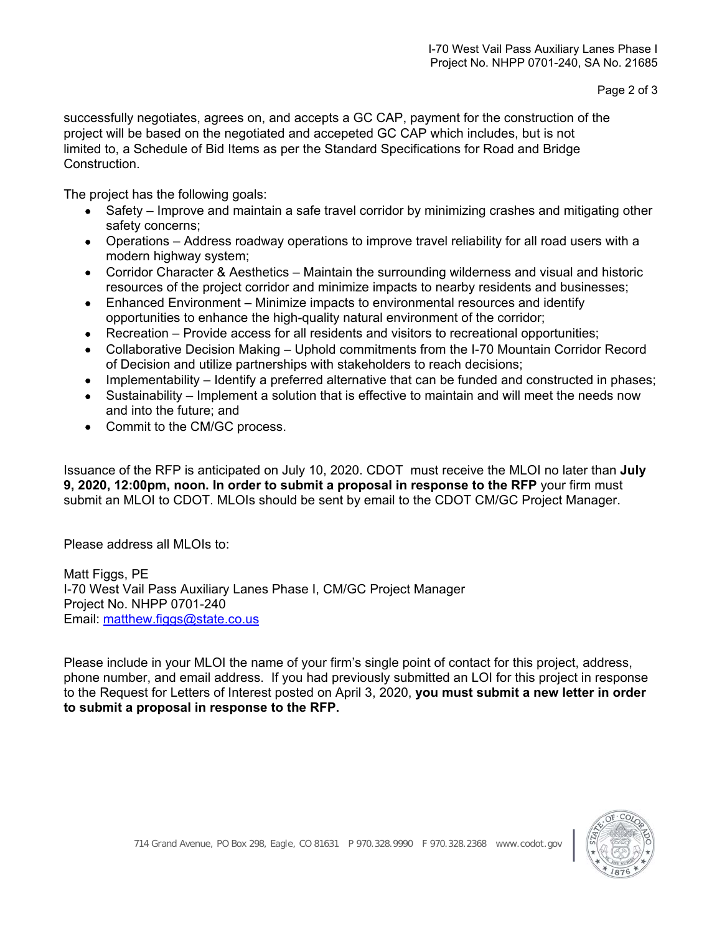successfully negotiates, agrees on, and accepts a GC CAP, payment for the construction of the project will be based on the negotiated and accepeted GC CAP which includes, but is not limited to, a Schedule of Bid Items as per the Standard Specifications for Road and Bridge Construction.

The project has the following goals:

- Safety Improve and maintain a safe travel corridor by minimizing crashes and mitigating other safety concerns;
- Operations Address roadway operations to improve travel reliability for all road users with a modern highway system;
- Corridor Character & Aesthetics Maintain the surrounding wilderness and visual and historic resources of the project corridor and minimize impacts to nearby residents and businesses;
- Enhanced Environment Minimize impacts to environmental resources and identify opportunities to enhance the high-quality natural environment of the corridor;
- Recreation Provide access for all residents and visitors to recreational opportunities;
- Collaborative Decision Making Uphold commitments from the I-70 Mountain Corridor Record of Decision and utilize partnerships with stakeholders to reach decisions;
- Implementability Identify a preferred alternative that can be funded and constructed in phases;
- Sustainability Implement a solution that is effective to maintain and will meet the needs now and into the future; and
- Commit to the CM/GC process.

Issuance of the RFP is anticipated on July 10, 2020. CDOT must receive the MLOI no later than **July 9, 2020, 12:00pm, noon. In order to submit a proposal in response to the RFP** your firm must submit an MLOI to CDOT. MLOIs should be sent by email to the CDOT CM/GC Project Manager.

Please address all MLOIs to:

Matt Figgs, PE I-70 West Vail Pass Auxiliary Lanes Phase I, CM/GC Project Manager Project No. NHPP 0701-240 Email: matthew.figgs@state.co.us

Please include in your MLOI the name of your firm's single point of contact for this project, address, phone number, and email address. If you had previously submitted an LOI for this project in response to the Request for Letters of Interest posted on April 3, 2020, **you must submit a new letter in order to submit a proposal in response to the RFP.**